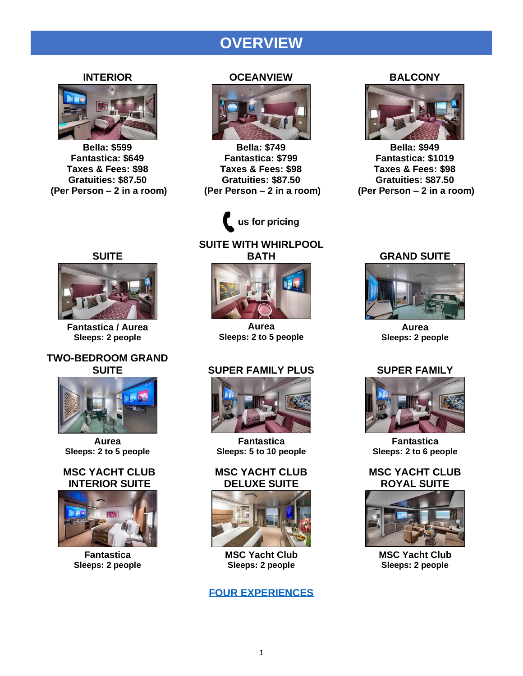# **OVERVIEW**

#### **INTERIOR**



**Bella: \$599 Fantastica: \$649 Taxes & Fees: \$98 Gratuities: \$87.50 (Per Person – 2 in a room)**

#### **OCEANVIEW**



**Bella: \$749 Fantastica: \$799 Taxes & Fees: \$98 Gratuities: \$87.50 (Per Person – 2 in a room)**



## **SUITE WITH WHIRLPOOL BATH**

## **SUITE**



**Fantastica / Aurea Sleeps: 2 people**

## **TWO-BEDROOM GRAND SUITE**



**Aurea Sleeps: 2 to 5 people**

## **MSC YACHT CLUB INTERIOR SUITE**



**Fantastica Sleeps: 2 people**



**Aurea Sleeps: 2 to 5 people**

## **SUPER FAMILY PLUS**



**Fantastica Sleeps: 5 to 10 people**

## **MSC YACHT CLUB DELUXE SUITE**



**MSC Yacht Club Sleeps: 2 people**

## **[FOUR EXPERIENCES](https://670fe334-cbf8-4a94-8074-8a53b10fbc63.filesusr.com/ugd/3f7c68_729c150d52a8479b8677229a90c4dda2.pdf)**

#### **BALCONY**



**Bella: \$949 Fantastica: \$1019 Taxes & Fees: \$98 Gratuities: \$87.50 (Per Person – 2 in a room)**

#### **GRAND SUITE**



**Aurea Sleeps: 2 people**

## **SUPER FAMILY**



**Fantastica Sleeps: 2 to 6 people**

## **MSC YACHT CLUB ROYAL SUITE**



**MSC Yacht Club Sleeps: 2 people**